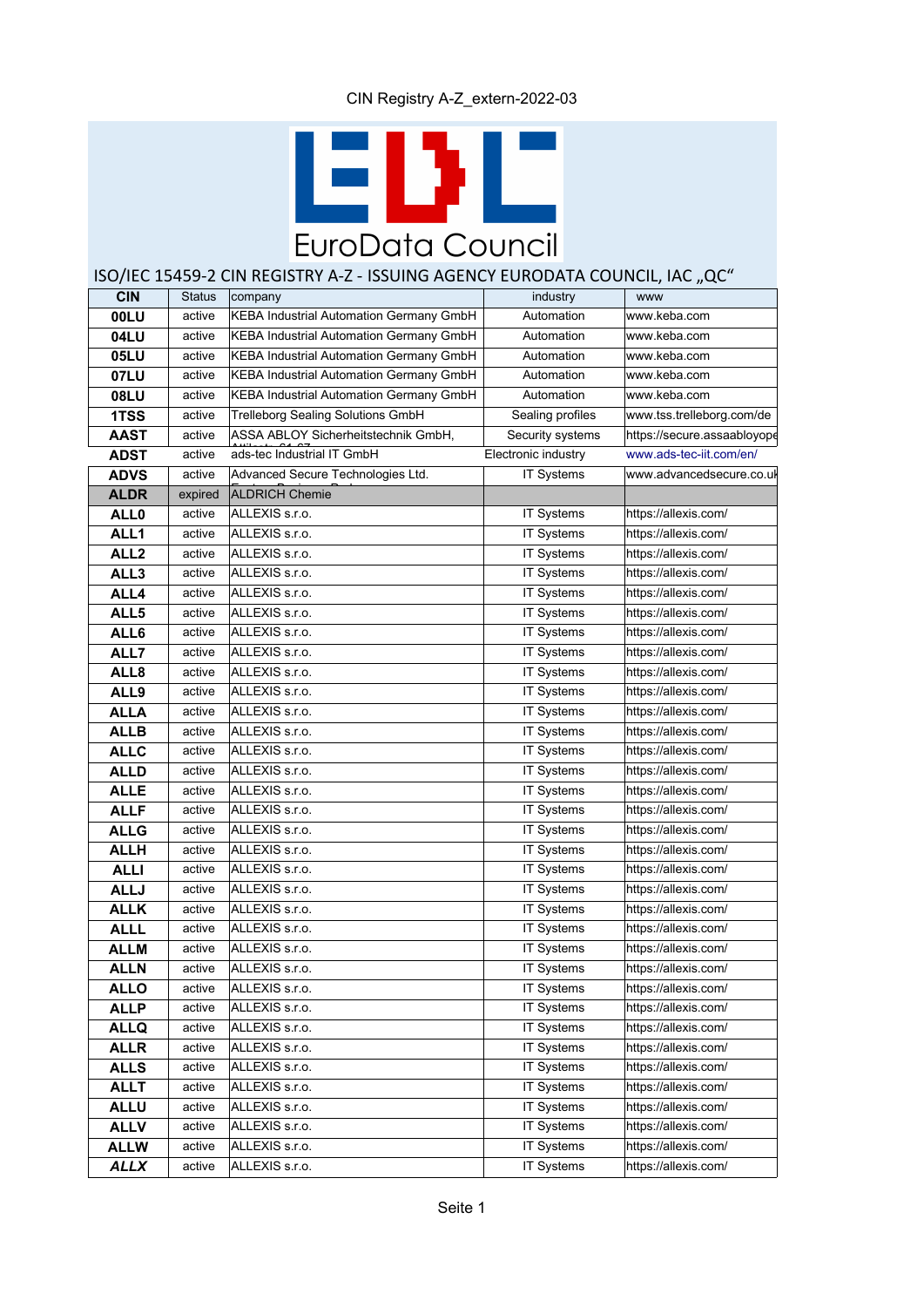# E EuroData Council

## ISO/IEC 15459-2 CIN REGISTRY A-Z - ISSUING AGENCY EURODATA COUNCIL, IAC "QC"

| <b>CIN</b>       | <b>Status</b> | company                                        | industry            | <b>WWW</b>                  |
|------------------|---------------|------------------------------------------------|---------------------|-----------------------------|
| <b>OOLU</b>      | active        | KEBA Industrial Automation Germany GmbH        | Automation          | www.keba.com                |
| 04LU             | active        | KEBA Industrial Automation Germany GmbH        | Automation          | www.keba.com                |
| <b>05LU</b>      | active        | <b>KEBA Industrial Automation Germany GmbH</b> | Automation          | www.keba.com                |
| 07LU             | active        | KEBA Industrial Automation Germany GmbH        | Automation          | www.keba.com                |
| <b>08LU</b>      | active        | KEBA Industrial Automation Germany GmbH        | Automation          | www.keba.com                |
| 1TSS             | active        | Trelleborg Sealing Solutions GmbH              | Sealing profiles    | www.tss.trelleborg.com/de   |
| <b>AAST</b>      | active        | ASSA ABLOY Sicherheitstechnik GmbH,            | Security systems    | https://secure.assaabloyope |
| <b>ADST</b>      | active        | ads-tec Industrial IT GmbH                     | Electronic industry | www.ads-tec-iit.com/en/     |
| ADVS             | active        | Advanced Secure Technologies Ltd.              | <b>IT Systems</b>   | www.advancedsecure.co.ul    |
| <b>ALDR</b>      | expired       | <b>ALDRICH Chemie</b>                          |                     |                             |
| <b>ALL0</b>      | active        | ALLEXIS s.r.o.                                 | <b>IT Systems</b>   | https://allexis.com/        |
| ALL <sub>1</sub> | active        | ALLEXIS s.r.o.                                 | <b>IT Systems</b>   | https://allexis.com/        |
| ALL <sub>2</sub> | active        | ALLEXIS s.r.o.                                 | IT Systems          | https://allexis.com/        |
| ALL3             | active        | ALLEXIS s.r.o.                                 | IT Systems          | https://allexis.com/        |
| ALL4             | active        | ALLEXIS s.r.o.                                 | IT Systems          | https://allexis.com/        |
| ALL5             | active        | ALLEXIS s.r.o.                                 | IT Systems          | https://allexis.com/        |
| ALL6             | active        | ALLEXIS s.r.o.                                 | IT Systems          | https://allexis.com/        |
| ALL7             | active        | ALLEXIS s.r.o.                                 | IT Systems          | https://allexis.com/        |
| ALL <sub>8</sub> | active        | ALLEXIS s.r.o.                                 | <b>IT Systems</b>   | https://allexis.com/        |
| ALL9             | active        | ALLEXIS s.r.o.                                 | <b>IT Systems</b>   | https://allexis.com/        |
| <b>ALLA</b>      | active        | ALLEXIS s.r.o.                                 | <b>IT Systems</b>   | https://allexis.com/        |
| <b>ALLB</b>      | active        | ALLEXIS s.r.o.                                 | IT Systems          | https://allexis.com/        |
| <b>ALLC</b>      | active        | ALLEXIS s.r.o.                                 | <b>IT Systems</b>   | https://allexis.com/        |
| <b>ALLD</b>      | active        | ALLEXIS s.r.o.                                 | <b>IT Systems</b>   | https://allexis.com/        |
| <b>ALLE</b>      | active        | ALLEXIS s.r.o.                                 | <b>IT Systems</b>   | https://allexis.com/        |
| <b>ALLF</b>      | active        | ALLEXIS s.r.o.                                 | <b>IT Systems</b>   | https://allexis.com/        |
| <b>ALLG</b>      | active        | ALLEXIS s.r.o.                                 | <b>IT Systems</b>   | https://allexis.com/        |
| <b>ALLH</b>      | active        | ALLEXIS s.r.o.                                 | <b>IT Systems</b>   | https://allexis.com/        |
| <b>ALLI</b>      | active        | ALLEXIS s.r.o.                                 | <b>IT Systems</b>   | https://allexis.com/        |
| <b>ALLJ</b>      | active        | ALLEXIS s.r.o.                                 | IT Systems          | https://allexis.com/        |
| <b>ALLK</b>      | active        | ALLEXIS s.r.o.                                 | <b>IT Systems</b>   | https://allexis.com/        |
| <b>ALLL</b>      | active        | ALLEXIS s.r.o.                                 | IT Systems          | https://allexis.com/        |
| <b>ALLM</b>      | active        | ALLEXIS s.r.o.                                 | <b>IT Systems</b>   | https://allexis.com/        |
| <b>ALLN</b>      | active        | ALLEXIS s.r.o.                                 | IT Systems          | https://allexis.com/        |
| <b>ALLO</b>      | active        | ALLEXIS s.r.o.                                 | IT Systems          | https://allexis.com/        |
| <b>ALLP</b>      | active        | ALLEXIS s.r.o.                                 | IT Systems          | https://allexis.com/        |
| <b>ALLQ</b>      | active        | ALLEXIS s.r.o.                                 | IT Systems          | https://allexis.com/        |
| <b>ALLR</b>      | active        | ALLEXIS s.r.o.                                 | IT Systems          | https://allexis.com/        |
| <b>ALLS</b>      | active        | ALLEXIS s.r.o.                                 | <b>IT Systems</b>   | https://allexis.com/        |
| <b>ALLT</b>      | active        | ALLEXIS s.r.o.                                 | <b>IT Systems</b>   | https://allexis.com/        |
| <b>ALLU</b>      | active        | ALLEXIS s.r.o.                                 | IT Systems          | https://allexis.com/        |
| <b>ALLV</b>      | active        | ALLEXIS s.r.o.                                 | IT Systems          | https://allexis.com/        |
| <b>ALLW</b>      | active        | ALLEXIS s.r.o.                                 | IT Systems          | https://allexis.com/        |
| <b>ALLX</b>      | active        | ALLEXIS s.r.o.                                 | IT Systems          | https://allexis.com/        |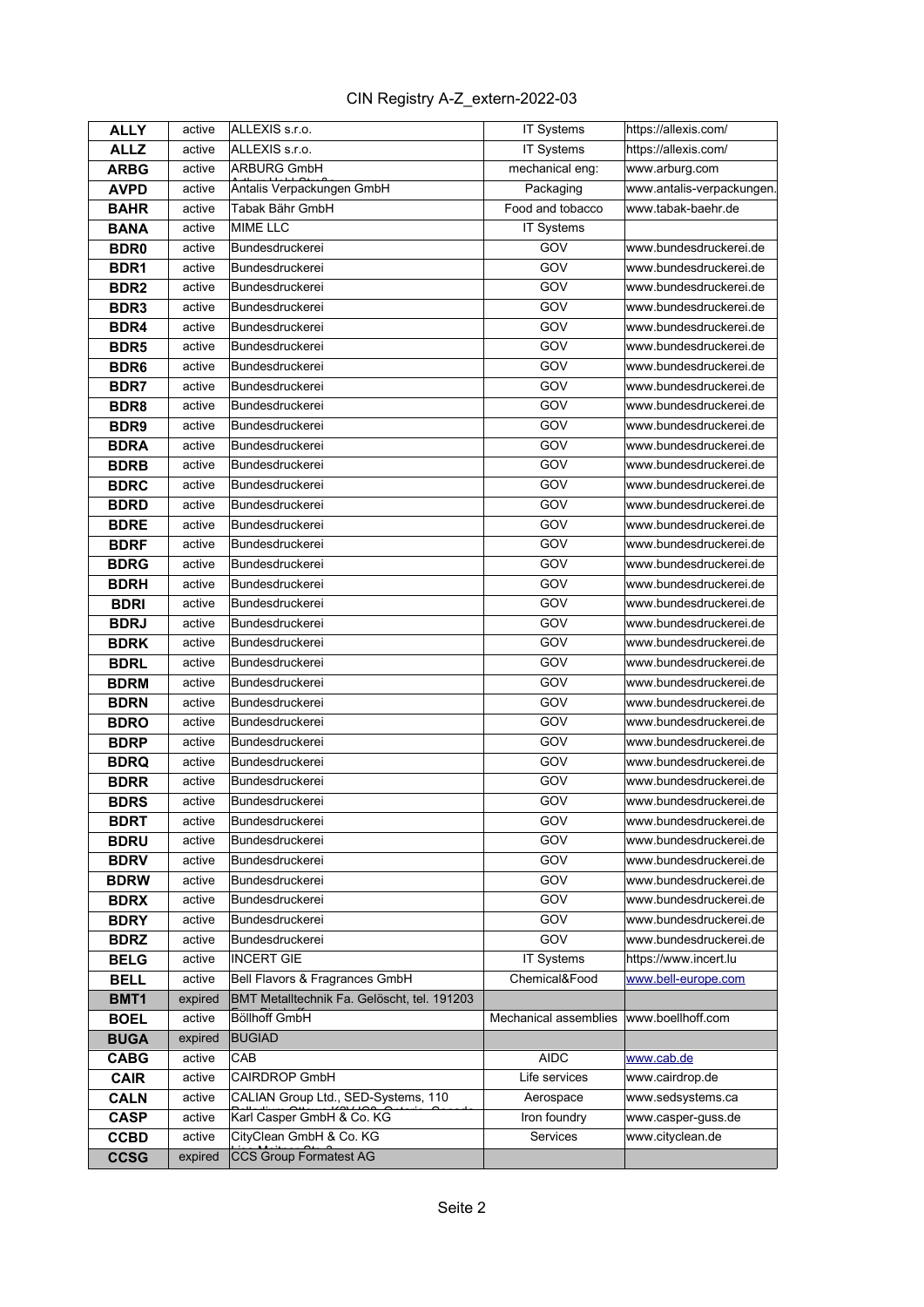| <b>ALLY</b>      | active  | ALLEXIS s.r.o.                              | IT Systems            | https://allexis.com/     |
|------------------|---------|---------------------------------------------|-----------------------|--------------------------|
| <b>ALLZ</b>      | active  | ALLEXIS s.r.o.                              | IT Systems            | https://allexis.com/     |
| <b>ARBG</b>      | active  | <b>ARBURG GmbH</b>                          | mechanical eng:       | www.arburg.com           |
| <b>AVPD</b>      | active  | Antalis Verpackungen GmbH                   | Packaging             | www.antalis-verpackungen |
| <b>BAHR</b>      | active  | Tabak Bähr GmbH                             | Food and tobacco      | www.tabak-baehr.de       |
| <b>BANA</b>      | active  | <b>MIME LLC</b>                             | IT Systems            |                          |
| <b>BDR0</b>      | active  | Bundesdruckerei                             | GOV                   | www.bundesdruckerei.de   |
| BDR <sub>1</sub> | active  | Bundesdruckerei                             | GOV                   | www.bundesdruckerei.de   |
| BDR <sub>2</sub> | active  | Bundesdruckerei                             | GOV                   | www.bundesdruckerei.de   |
| BDR <sub>3</sub> | active  | Bundesdruckerei                             | GOV                   | www.bundesdruckerei.de   |
| BDR4             | active  | Bundesdruckerei                             | GOV                   | www.bundesdruckerei.de   |
| BDR <sub>5</sub> | active  | Bundesdruckerei                             | GOV                   | www.bundesdruckerei.de   |
| BDR <sub>6</sub> | active  | Bundesdruckerei                             | GOV                   | www.bundesdruckerei.de   |
| <b>BDR7</b>      | active  | Bundesdruckerei                             | GOV                   | www.bundesdruckerei.de   |
| BDR <sub>8</sub> | active  | Bundesdruckerei                             | GOV                   | www.bundesdruckerei.de   |
| BDR <sub>9</sub> | active  | Bundesdruckerei                             | GOV                   | www.bundesdruckerei.de   |
| <b>BDRA</b>      | active  | Bundesdruckerei                             | GOV                   | www.bundesdruckerei.de   |
| <b>BDRB</b>      | active  | Bundesdruckerei                             | GOV                   | www.bundesdruckerei.de   |
| <b>BDRC</b>      | active  | Bundesdruckerei                             | GOV                   | www.bundesdruckerei.de   |
| <b>BDRD</b>      | active  | Bundesdruckerei                             | GOV                   | www.bundesdruckerei.de   |
| <b>BDRE</b>      | active  | Bundesdruckerei                             | GOV                   | www.bundesdruckerei.de   |
| <b>BDRF</b>      | active  | Bundesdruckerei                             | GOV                   | www.bundesdruckerei.de   |
| <b>BDRG</b>      | active  | Bundesdruckerei                             | GOV                   | www.bundesdruckerei.de   |
| <b>BDRH</b>      | active  | Bundesdruckerei                             | GOV                   | www.bundesdruckerei.de   |
| <b>BDRI</b>      | active  | Bundesdruckerei                             | GOV                   | www.bundesdruckerei.de   |
| <b>BDRJ</b>      | active  | Bundesdruckerei                             | GOV                   | www.bundesdruckerei.de   |
| <b>BDRK</b>      | active  | Bundesdruckerei                             | GOV                   | www.bundesdruckerei.de   |
| <b>BDRL</b>      | active  | Bundesdruckerei                             | GOV                   | www.bundesdruckerei.de   |
| <b>BDRM</b>      | active  | Bundesdruckerei                             | GOV                   | www.bundesdruckerei.de   |
| <b>BDRN</b>      | active  | Bundesdruckerei                             | GOV                   | www.bundesdruckerei.de   |
| <b>BDRO</b>      | active  | Bundesdruckerei                             | GOV                   | www.bundesdruckerei.de   |
| <b>BDRP</b>      | active  | Bundesdruckerei                             | GOV                   | www.bundesdruckerei.de   |
| <b>BDRQ</b>      | active  | Bundesdruckerei                             | GOV                   | www.bundesdruckerei.de   |
| <b>BDRR</b>      | active  | Bundesdruckerei                             | GOV                   | www.bundesdruckerei.de   |
| <b>BDRS</b>      | active  | Bundesdruckerei                             | GOV                   | www.bundesdruckerei.de   |
| <b>BDRT</b>      | active  | Bundesdruckerei                             | GOV                   | www.bundesdruckerei.de   |
| <b>BDRU</b>      | active  | Bundesdruckerei                             | GOV                   | www.bundesdruckerei.de   |
| <b>BDRV</b>      | active  | Bundesdruckerei                             | GOV                   | www.bundesdruckerei.de   |
| <b>BDRW</b>      | active  | Bundesdruckerei                             | GOV                   | www.bundesdruckerei.de   |
| <b>BDRX</b>      | active  | Bundesdruckerei                             | <b>GOV</b>            | www.bundesdruckerei.de   |
| <b>BDRY</b>      | active  | Bundesdruckerei                             | GOV                   | www.bundesdruckerei.de   |
| <b>BDRZ</b>      | active  | Bundesdruckerei                             | GOV                   | www.bundesdruckerei.de   |
| <b>BELG</b>      | active  | <b>INCERT GIE</b>                           | IT Systems            | https://www.incert.lu    |
| <b>BELL</b>      | active  | Bell Flavors & Fragrances GmbH              | Chemical&Food         | www.bell-europe.com      |
| BMT1             | expired | BMT Metalltechnik Fa. Gelöscht, tel. 191203 |                       |                          |
| <b>BOEL</b>      | active  | <b>Böllhoff GmbH</b>                        | Mechanical assemblies | www.boellhoff.com        |
| <b>BUGA</b>      | expired | <b>BUGIAD</b>                               |                       |                          |
| <b>CABG</b>      | active  | CAB                                         | AIDC                  | www.cab.de               |
| <b>CAIR</b>      | active  | CAIRDROP GmbH                               | Life services         | www.cairdrop.de          |
| <b>CALN</b>      | active  | CALIAN Group Ltd., SED-Systems, 110         | Aerospace             | www.sedsystems.ca        |
| <b>CASP</b>      | active  | Karl Casper GmbH & Co. KG                   | Iron foundry          | www.casper-guss.de       |
| <b>CCBD</b>      | active  | CityClean GmbH & Co. KG                     | Services              | www.cityclean.de         |
| <b>CCSG</b>      | expired | <b>CCS Group Formatest AG</b>               |                       |                          |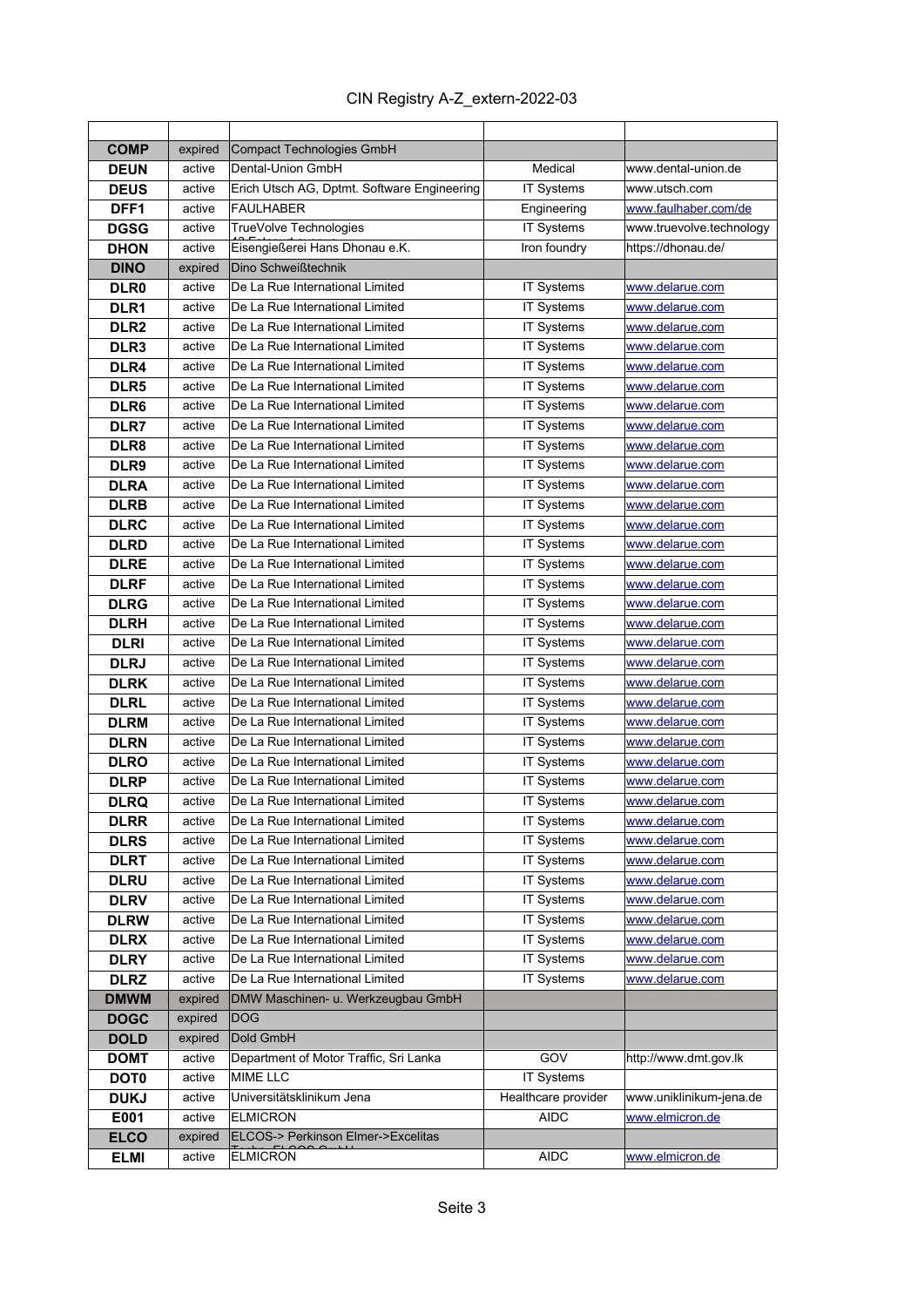| <b>COMP</b>      | expired | Compact Technologies GmbH                    |                                    |                          |
|------------------|---------|----------------------------------------------|------------------------------------|--------------------------|
| <b>DEUN</b>      | active  | Dental-Union GmbH                            | Medical                            | www.dental-union.de      |
| <b>DEUS</b>      | active  | Erich Utsch AG, Dptmt. Software Engineering  | <b>IT Systems</b>                  | www.utsch.com            |
| DFF1             | active  | FAULHABER                                    | Engineering                        | www.faulhaber.com/de     |
| <b>DGSG</b>      | active  | TrueVolve Technologies                       | IT Systems                         | www.truevolve.technology |
| <b>DHON</b>      | active  | Eisengießerei Hans Dhonau e.K.               | Iron foundry                       | https://dhonau.de/       |
| <b>DINO</b>      | expired | Dino Schweißtechnik                          |                                    |                          |
| DLR <sub>0</sub> | active  | De La Rue International Limited              | <b>IT Systems</b>                  | www.delarue.com          |
| DLR <sub>1</sub> | active  | De La Rue International Limited              | IT Systems                         | www.delarue.com          |
| DLR <sub>2</sub> | active  | De La Rue International Limited              | IT Systems                         | www.delarue.com          |
| DLR <sub>3</sub> | active  | De La Rue International Limited              | <b>IT Systems</b>                  | www.delarue.com          |
| DLR4             | active  | De La Rue International Limited              | IT Systems                         | www.delarue.com          |
| DLR <sub>5</sub> | active  | De La Rue International Limited              | IT Systems                         | www.delarue.com          |
| DLR6             | active  | De La Rue International Limited              | IT Systems                         | www.delarue.com          |
| DLR7             | active  | De La Rue International Limited              | IT Systems                         | www.delarue.com          |
| DLR <sub>8</sub> | active  | De La Rue International Limited              | IT Systems                         | www.delarue.com          |
| DLR9             | active  | De La Rue International Limited              | IT Systems                         | www.delarue.com          |
| <b>DLRA</b>      | active  | De La Rue International Limited              | <b>IT Systems</b>                  | www.delarue.com          |
| <b>DLRB</b>      | active  | De La Rue International Limited              | IT Systems                         | www.delarue.com          |
| <b>DLRC</b>      | active  | De La Rue International Limited              | IT Systems                         | www.delarue.com          |
| <b>DLRD</b>      | active  | De La Rue International Limited              | IT Systems                         | www.delarue.com          |
| <b>DLRE</b>      | active  | De La Rue International Limited              | IT Systems                         | www.delarue.com          |
| <b>DLRF</b>      | active  | De La Rue International Limited              | IT Systems                         | www.delarue.com          |
| <b>DLRG</b>      | active  | De La Rue International Limited              | IT Systems                         | www.delarue.com          |
| <b>DLRH</b>      | active  | De La Rue International Limited              | IT Systems                         | www.delarue.com          |
| <b>DLRI</b>      | active  | De La Rue International Limited              | IT Systems                         | www.delarue.com          |
| <b>DLRJ</b>      | active  | De La Rue International Limited              | <b>IT Systems</b>                  | www.delarue.com          |
| <b>DLRK</b>      | active  | De La Rue International Limited              | <b>IT Systems</b>                  | www.delarue.com          |
| <b>DLRL</b>      | active  | De La Rue International Limited              | IT Systems                         | www.delarue.com          |
| <b>DLRM</b>      | active  | De La Rue International Limited              | IT Systems                         | www.delarue.com          |
| <b>DLRN</b>      | active  | De La Rue International Limited              | IT Systems                         | www.delarue.com          |
| <b>DLRO</b>      | active  | De La Rue International Limited              | IT Systems                         | www.delarue.com          |
| <b>DLRP</b>      | active  | De La Rue International Limited              | IT Systems                         | www.delarue.com          |
| <b>DLRQ</b>      | active  | De La Rue International Limited              | IT Systems                         | www.delarue.com          |
| <b>DLRR</b>      | active  | De La Rue International Limited              | IT Systems                         | www.delarue.com          |
| <b>DLRS</b>      | active  | De La Rue International Limited              | IT Systems                         | www.delarue.com          |
| <b>DLRT</b>      | active  | De La Rue International Limited              | IT Systems                         | www.delarue.com          |
| <b>DLRU</b>      | active  | De La Rue International Limited              | IT Systems                         | www.delarue.com          |
| <b>DLRV</b>      | active  | De La Rue International Limited              | IT Systems                         | www.delarue.com          |
| <b>DLRW</b>      | active  | De La Rue International Limited              | IT Systems                         | www.delarue.com          |
| <b>DLRX</b>      | active  | De La Rue International Limited              | IT Systems                         | www.delarue.com          |
| <b>DLRY</b>      | active  | De La Rue International Limited              | IT Systems                         | www.delarue.com          |
| <b>DLRZ</b>      | active  | De La Rue International Limited              | <b>IT Systems</b>                  | www.delarue.com          |
| <b>DMWM</b>      | expired | DMW Maschinen- u. Werkzeugbau GmbH           |                                    |                          |
| <b>DOGC</b>      | expired | <b>DOG</b>                                   |                                    |                          |
| <b>DOLD</b>      | expired | Dold GmbH                                    |                                    |                          |
| <b>DOMT</b>      | active  | Department of Motor Traffic, Sri Lanka       | GOV                                | http://www.dmt.gov.lk    |
| <b>DOT0</b>      | active  | <b>MIME LLC</b>                              | <b>IT Systems</b>                  |                          |
| <b>DUKJ</b>      | active  | Universitätsklinikum Jena<br><b>ELMICRON</b> | Healthcare provider<br><b>AIDC</b> | www.uniklinikum-jena.de  |
| E001             | active  | ELCOS-> Perkinson Elmer->Excelitas           |                                    | www.elmicron.de          |
| <b>ELCO</b>      | expired | <b>ELMICRON</b>                              | AIDC                               | www.elmicron.de          |
| <b>ELMI</b>      | active  |                                              |                                    |                          |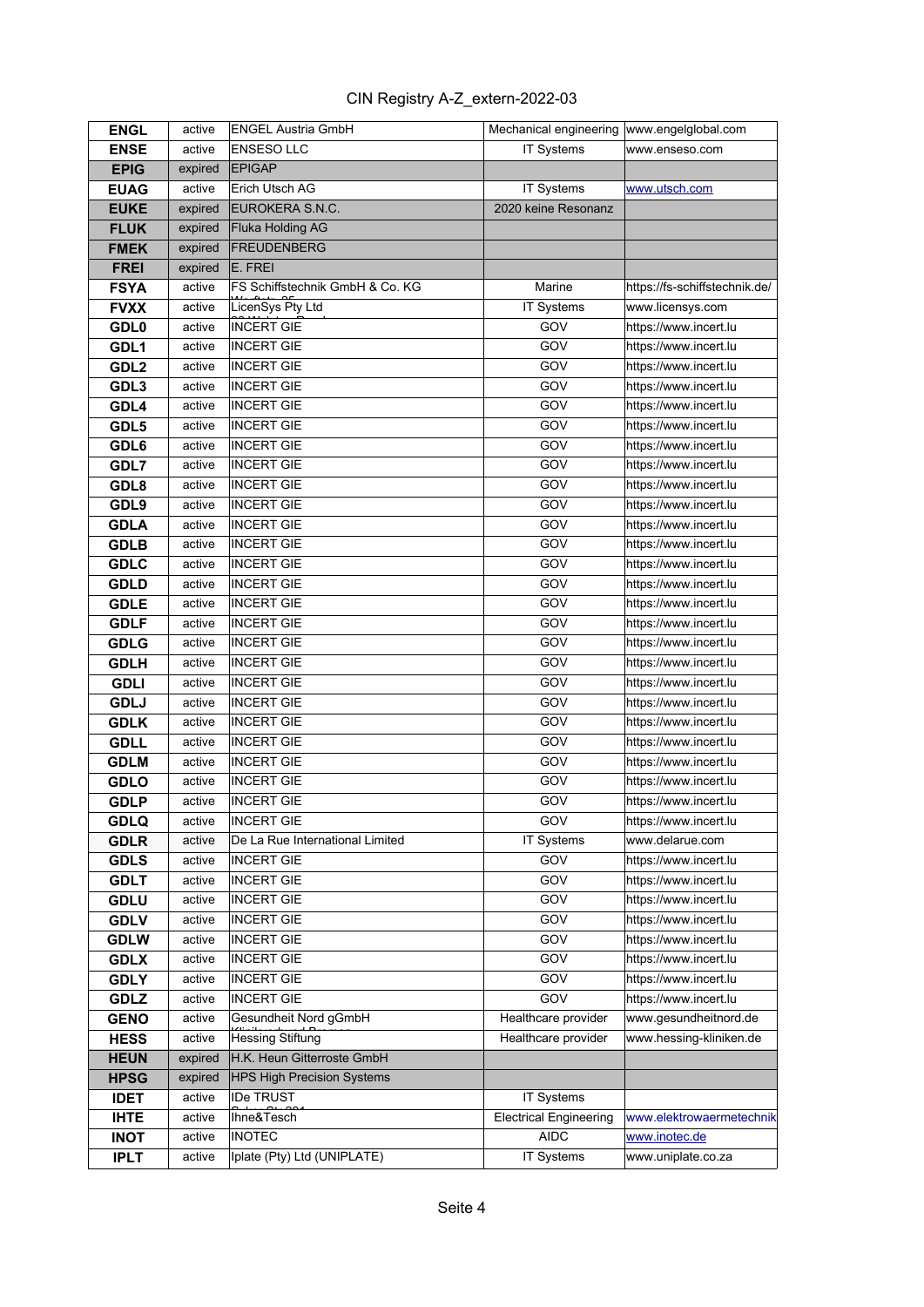| <b>ENGL</b>      | active  | <b>ENGEL Austria GmbH</b>         | Mechanical engineering  www.engelglobal.com |                               |
|------------------|---------|-----------------------------------|---------------------------------------------|-------------------------------|
| <b>ENSE</b>      | active  | <b>ENSESO LLC</b>                 | IT Systems                                  | www.enseso.com                |
| <b>EPIG</b>      | expired | <b>EPIGAP</b>                     |                                             |                               |
| <b>EUAG</b>      | active  | Erich Utsch AG                    | IT Systems                                  | www.utsch.com                 |
| <b>EUKE</b>      | expired | EUROKERA S.N.C.                   | 2020 keine Resonanz                         |                               |
| <b>FLUK</b>      | expired | Fluka Holding AG                  |                                             |                               |
| <b>FMEK</b>      | expired | FREUDENBERG                       |                                             |                               |
| <b>FREI</b>      | expired | E. FREI                           |                                             |                               |
| <b>FSYA</b>      | active  | FS Schiffstechnik GmbH & Co. KG   | Marine                                      | https://fs-schiffstechnik.de/ |
| <b>FVXX</b>      | active  | LicenSys Pty Ltd                  | IT Systems                                  | www.licensys.com              |
| <b>GDL0</b>      | active  | <b>INCERT GIE</b>                 | GOV                                         | https://www.incert.lu         |
| GDL1             | active  | <b>INCERT GIE</b>                 | GOV                                         | https://www.incert.lu         |
| GDL <sub>2</sub> | active  | <b>INCERT GIE</b>                 | GOV                                         | https://www.incert.lu         |
| GDL3             | active  | <b>INCERT GIE</b>                 | GOV                                         | https://www.incert.lu         |
| GDL4             | active  | <b>INCERT GIE</b>                 | GOV                                         | https://www.incert.lu         |
| GDL5             | active  | <b>INCERT GIE</b>                 | GOV                                         | https://www.incert.lu         |
| GDL6             | active  | <b>INCERT GIE</b>                 | GOV                                         | https://www.incert.lu         |
| GDL7             | active  | <b>INCERT GIE</b>                 | GOV                                         | https://www.incert.lu         |
| GDL8             | active  | <b>INCERT GIE</b>                 | GOV                                         | https://www.incert.lu         |
| GDL9             | active  | <b>INCERT GIE</b>                 | GOV                                         | https://www.incert.lu         |
| <b>GDLA</b>      | active  | <b>INCERT GIE</b>                 | GOV                                         | https://www.incert.lu         |
| <b>GDLB</b>      | active  | <b>INCERT GIE</b>                 | GOV                                         | https://www.incert.lu         |
| <b>GDLC</b>      | active  | <b>INCERT GIE</b>                 | GOV                                         | https://www.incert.lu         |
| <b>GDLD</b>      | active  | <b>INCERT GIE</b>                 | GOV                                         | https://www.incert.lu         |
| <b>GDLE</b>      | active  | <b>INCERT GIE</b>                 | GOV                                         | https://www.incert.lu         |
| <b>GDLF</b>      | active  | <b>INCERT GIE</b>                 | GOV                                         | https://www.incert.lu         |
| <b>GDLG</b>      | active  | <b>INCERT GIE</b>                 | GOV                                         | https://www.incert.lu         |
| <b>GDLH</b>      | active  | <b>INCERT GIE</b>                 | GOV                                         | https://www.incert.lu         |
| <b>GDLI</b>      | active  | <b>INCERT GIE</b>                 | GOV                                         | https://www.incert.lu         |
| <b>GDLJ</b>      | active  | <b>INCERT GIE</b>                 | GOV                                         | https://www.incert.lu         |
| <b>GDLK</b>      | active  | <b>INCERT GIE</b>                 | GOV                                         | https://www.incert.lu         |
| <b>GDLL</b>      | active  | <b>INCERT GIE</b>                 | GOV                                         | https://www.incert.lu         |
| <b>GDLM</b>      | active  | <b>INCERT GIE</b>                 | GOV                                         | https://www.incert.lu         |
| <b>GDLO</b>      | active  | <b>INCERT GIE</b>                 | GOV                                         | https://www.incert.lu         |
| <b>GDLP</b>      | active  | INCERT GIE                        | GOV                                         | https://www.incert.lu         |
| <b>GDLQ</b>      | active  | INCERT GIE                        | GOV                                         | https://www.incert.lu         |
| <b>GDLR</b>      | active  | De La Rue International Limited   | IT Systems                                  | www.delarue.com               |
| <b>GDLS</b>      | active  | <b>INCERT GIE</b>                 | GOV                                         | https://www.incert.lu         |
| <b>GDLT</b>      | active  | <b>INCERT GIE</b>                 | GOV                                         | https://www.incert.lu         |
| <b>GDLU</b>      | active  | <b>INCERT GIE</b>                 | GOV                                         | https://www.incert.lu         |
| <b>GDLV</b>      | active  | <b>INCERT GIE</b>                 | GOV                                         | https://www.incert.lu         |
| <b>GDLW</b>      | active  | <b>INCERT GIE</b>                 | GOV                                         | https://www.incert.lu         |
| <b>GDLX</b>      | active  | <b>INCERT GIE</b>                 | GOV                                         | https://www.incert.lu         |
| <b>GDLY</b>      | active  | <b>INCERT GIE</b>                 | GOV                                         | https://www.incert.lu         |
| <b>GDLZ</b>      | active  | <b>INCERT GIE</b>                 | GOV                                         | https://www.incert.lu         |
| <b>GENO</b>      | active  | Gesundheit Nord gGmbH             | Healthcare provider                         | www.gesundheitnord.de         |
| <b>HESS</b>      | active  | Hessing Stiftung                  | Healthcare provider                         | www.hessing-kliniken.de       |
| <b>HEUN</b>      | expired | H.K. Heun Gitterroste GmbH        |                                             |                               |
| <b>HPSG</b>      | expired | <b>HPS High Precision Systems</b> |                                             |                               |
| <b>IDET</b>      | active  | <b>IDe TRUST</b>                  | IT Systems                                  |                               |
| <b>IHTE</b>      | active  | Ihne&Tesch                        | <b>Electrical Engineering</b>               | www.elektrowaermetechnik      |
| <b>INOT</b>      | active  | <b>INOTEC</b>                     | <b>AIDC</b>                                 | www.inotec.de                 |
| <b>IPLT</b>      | active  | Iplate (Pty) Ltd (UNIPLATE)       | IT Systems                                  | www.uniplate.co.za            |
|                  |         |                                   |                                             |                               |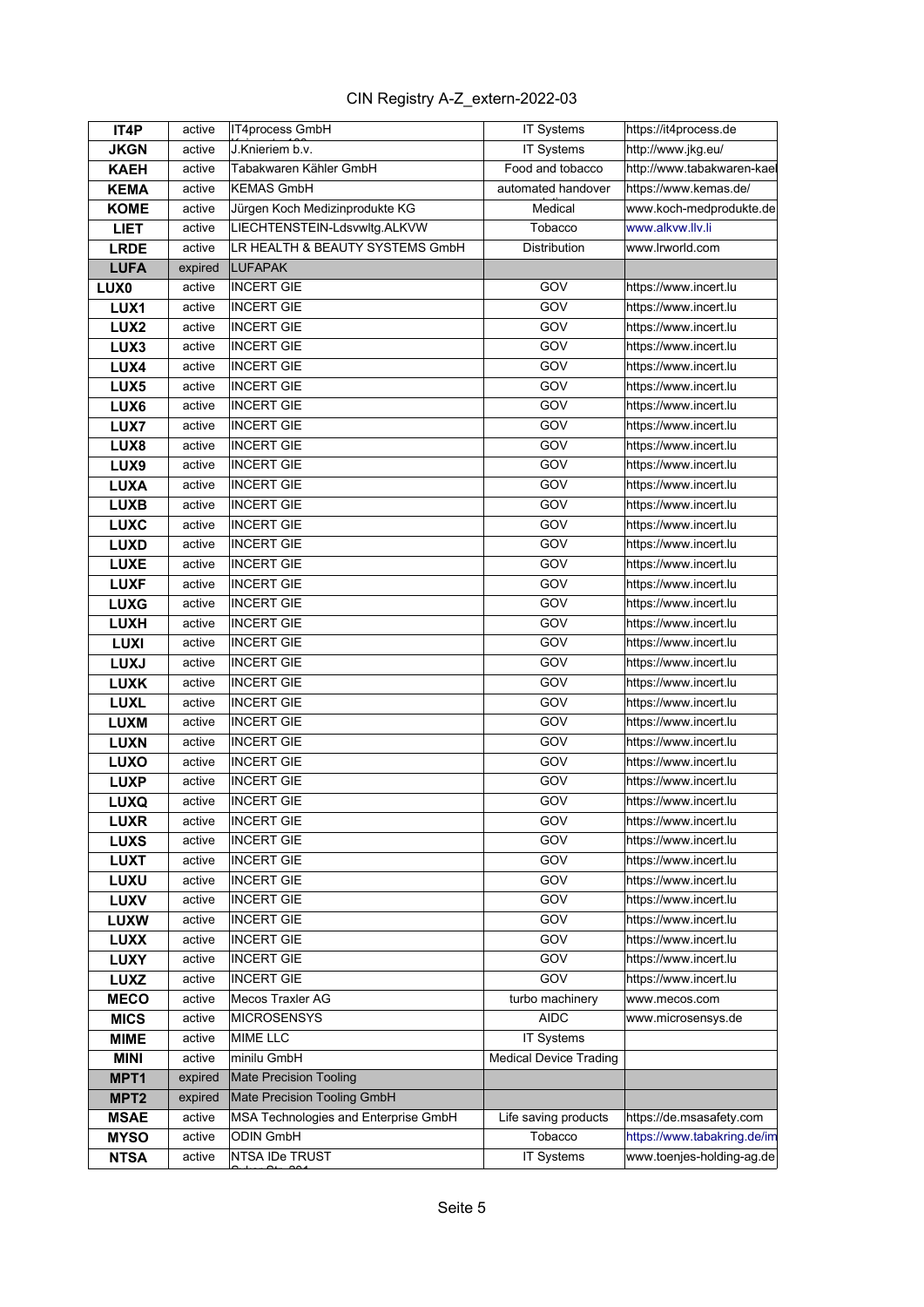| IT4P             | active  | IT4process GmbH                      | IT Systems                    | https://it4process.de       |
|------------------|---------|--------------------------------------|-------------------------------|-----------------------------|
| <b>JKGN</b>      | active  | J.Knieriem b.v.                      | IT Systems                    | http://www.jkg.eu/          |
| <b>KAEH</b>      | active  | Tabakwaren Kähler GmbH               | Food and tobacco              | http://www.tabakwaren-kael  |
| <b>KEMA</b>      | active  | <b>KEMAS GmbH</b>                    | automated handover            | https://www.kemas.de/       |
| <b>KOME</b>      | active  | Jürgen Koch Medizinprodukte KG       | Medical                       | www.koch-medprodukte.de     |
| <b>LIET</b>      | active  | LIECHTENSTEIN-Ldsvwltg.ALKVW         | Tobacco                       | www.alkvw.llv.li            |
| <b>LRDE</b>      | active  | LR HEALTH & BEAUTY SYSTEMS GmbH      | Distribution                  | www.lrworld.com             |
| <b>LUFA</b>      | expired | <b>LUFAPAK</b>                       |                               |                             |
| LUX <sub>0</sub> | active  | <b>INCERT GIE</b>                    | GOV                           | https://www.incert.lu       |
| LUX1             | active  | <b>INCERT GIE</b>                    | GOV                           | https://www.incert.lu       |
| LUX <sub>2</sub> | active  | <b>INCERT GIE</b>                    | GOV                           | https://www.incert.lu       |
| LUX3             | active  | <b>INCERT GIE</b>                    | GOV                           | https://www.incert.lu       |
| LUX4             | active  | <b>INCERT GIE</b>                    | GOV                           | https://www.incert.lu       |
| LUX <sub>5</sub> | active  | <b>INCERT GIE</b>                    | GOV                           | https://www.incert.lu       |
| LUX6             | active  | <b>INCERT GIE</b>                    | GOV                           | https://www.incert.lu       |
| LUX7             | active  | <b>INCERT GIE</b>                    | GOV                           | https://www.incert.lu       |
| LUX8             | active  | <b>INCERT GIE</b>                    | GOV                           | https://www.incert.lu       |
| LUX9             | active  | <b>INCERT GIE</b>                    | GOV                           | https://www.incert.lu       |
| <b>LUXA</b>      | active  | <b>INCERT GIE</b>                    | GOV                           | https://www.incert.lu       |
| <b>LUXB</b>      | active  | <b>INCERT GIE</b>                    | GOV                           | https://www.incert.lu       |
| <b>LUXC</b>      | active  | <b>INCERT GIE</b>                    | GOV                           | https://www.incert.lu       |
| <b>LUXD</b>      | active  | <b>INCERT GIE</b>                    | GOV                           | https://www.incert.lu       |
| <b>LUXE</b>      | active  | <b>INCERT GIE</b>                    | GOV                           | https://www.incert.lu       |
| <b>LUXF</b>      | active  | <b>INCERT GIE</b>                    | GOV                           | https://www.incert.lu       |
| <b>LUXG</b>      | active  | <b>INCERT GIE</b>                    | GOV                           | https://www.incert.lu       |
| <b>LUXH</b>      | active  | <b>INCERT GIE</b>                    | GOV                           | https://www.incert.lu       |
| <b>LUXI</b>      | active  | <b>INCERT GIE</b>                    | GOV                           | https://www.incert.lu       |
| <b>LUXJ</b>      | active  | <b>INCERT GIE</b>                    | GOV                           | https://www.incert.lu       |
| <b>LUXK</b>      | active  | <b>INCERT GIE</b>                    | GOV                           | https://www.incert.lu       |
| <b>LUXL</b>      | active  | <b>INCERT GIE</b>                    | GOV                           | https://www.incert.lu       |
| <b>LUXM</b>      | active  | <b>INCERT GIE</b>                    | GOV                           | https://www.incert.lu       |
| <b>LUXN</b>      | active  | <b>INCERT GIE</b>                    | GOV                           | https://www.incert.lu       |
| <b>LUXO</b>      | active  | <b>INCERT GIE</b>                    | GOV                           | https://www.incert.lu       |
| <b>LUXP</b>      | active  | <b>INCERT GIE</b>                    | GOV                           | https://www.incert.lu       |
| <b>LUXQ</b>      | active  | <b>INCERT GIE</b>                    | GOV                           | https://www.incert.lu       |
| <b>LUXR</b>      | active  | <b>INCERT GIE</b>                    | GOV                           | https://www.incert.lu       |
| <b>LUXS</b>      | active  | <b>INCERT GIE</b>                    | GOV                           | https://www.incert.lu       |
| <b>LUXT</b>      | active  | <b>INCERT GIE</b>                    | GOV                           | https://www.incert.lu       |
| <b>LUXU</b>      | active  | <b>INCERT GIE</b>                    | GOV                           | https://www.incert.lu       |
| <b>LUXV</b>      | active  | <b>INCERT GIE</b>                    | GOV                           | https://www.incert.lu       |
| <b>LUXW</b>      | active  | <b>INCERT GIE</b>                    | GOV                           | https://www.incert.lu       |
| <b>LUXX</b>      | active  | <b>INCERT GIE</b>                    | GOV                           | https://www.incert.lu       |
| <b>LUXY</b>      | active  | <b>INCERT GIE</b>                    | GOV                           | https://www.incert.lu       |
| <b>LUXZ</b>      | active  | <b>INCERT GIE</b>                    | GOV                           | https://www.incert.lu       |
| <b>MECO</b>      | active  | Mecos Traxler AG                     | turbo machinery               | www.mecos.com               |
| <b>MICS</b>      | active  | <b>MICROSENSYS</b>                   | <b>AIDC</b>                   | www.microsensys.de          |
| <b>MIME</b>      | active  | <b>MIME LLC</b>                      | IT Systems                    |                             |
| <b>MINI</b>      | active  | minilu GmbH                          | <b>Medical Device Trading</b> |                             |
| MPT1             | expired | <b>Mate Precision Tooling</b>        |                               |                             |
| MPT <sub>2</sub> | expired | Mate Precision Tooling GmbH          |                               |                             |
| <b>MSAE</b>      | active  | MSA Technologies and Enterprise GmbH | Life saving products          | https://de.msasafety.com    |
| <b>MYSO</b>      | active  | <b>ODIN GmbH</b>                     | Tobacco                       | https://www.tabakring.de/im |
| <b>NTSA</b>      | active  | NTSA IDe TRUST                       | IT Systems                    | www.toenjes-holding-ag.de   |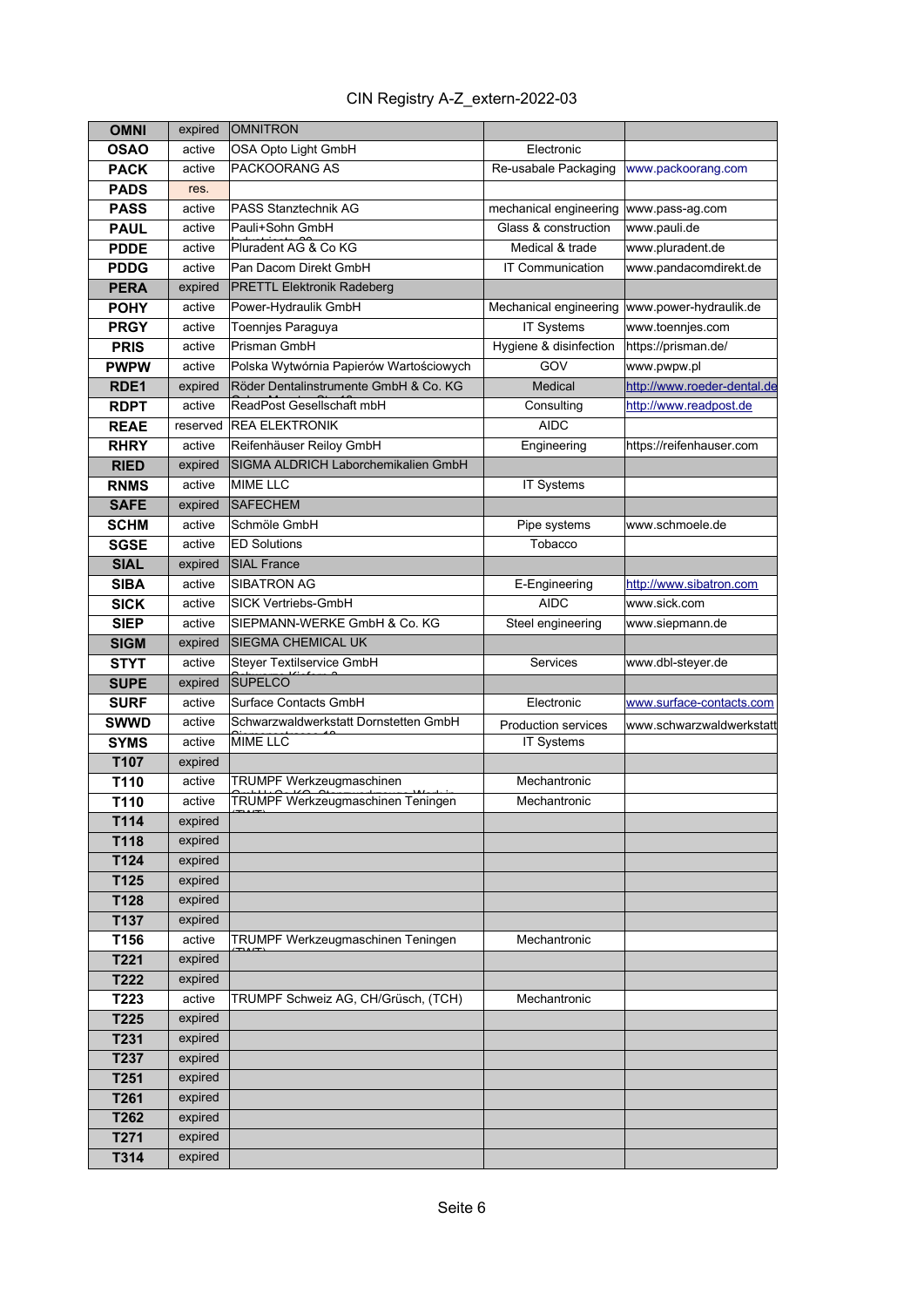| <b>OMNI</b>      | expired  | <b>OMNITRON</b>                          |                            |                                                |
|------------------|----------|------------------------------------------|----------------------------|------------------------------------------------|
| <b>OSAO</b>      | active   | OSA Opto Light GmbH                      | Electronic                 |                                                |
| <b>PACK</b>      | active   | PACKOORANG AS                            | Re-usabale Packaging       | www.packoorang.com                             |
| <b>PADS</b>      | res.     |                                          |                            |                                                |
| <b>PASS</b>      | active   | <b>PASS Stanztechnik AG</b>              | mechanical engineering     | www.pass-ag.com                                |
| <b>PAUL</b>      | active   | Pauli+Sohn GmbH                          | Glass & construction       | www.pauli.de                                   |
| <b>PDDE</b>      | active   | Pluradent AG & Co KG                     | Medical & trade            | www.pluradent.de                               |
| <b>PDDG</b>      | active   | Pan Dacom Direkt GmbH                    | <b>IT Communication</b>    | www.pandacomdirekt.de                          |
| <b>PERA</b>      | expired  | <b>PRETTL Elektronik Radeberg</b>        |                            |                                                |
| <b>POHY</b>      | active   | Power-Hydraulik GmbH                     |                            | Mechanical engineering  www.power-hydraulik.de |
| <b>PRGY</b>      | active   | Toennjes Paraguya                        | <b>IT Systems</b>          | www.toennjes.com                               |
| <b>PRIS</b>      | active   | Prisman GmbH                             | Hygiene & disinfection     | https://prisman.de/                            |
| <b>PWPW</b>      | active   | Polska Wytwórnia Papierów Wartościowych  | GOV                        | www.pwpw.pl                                    |
| RDE <sub>1</sub> | expired  | Röder Dentalinstrumente GmbH & Co. KG    | Medical                    | http://www.roeder-dental.de                    |
| <b>RDPT</b>      | active   | ReadPost Gesellschaft mbH                | Consulting                 | http://www.readpost.de                         |
| <b>REAE</b>      | reserved | <b>REA ELEKTRONIK</b>                    | <b>AIDC</b>                |                                                |
| <b>RHRY</b>      | active   | Reifenhäuser Reiloy GmbH                 | Engineering                | https://reifenhauser.com                       |
| <b>RIED</b>      | expired  | SIGMA ALDRICH Laborchemikalien GmbH      |                            |                                                |
| <b>RNMS</b>      | active   | <b>MIME LLC</b>                          | IT Systems                 |                                                |
| <b>SAFE</b>      | expired  | <b>SAFECHEM</b>                          |                            |                                                |
| <b>SCHM</b>      | active   | Schmöle GmbH                             | Pipe systems               | www.schmoele.de                                |
| <b>SGSE</b>      | active   | <b>ED Solutions</b>                      | Tobacco                    |                                                |
| <b>SIAL</b>      | expired  | <b>SIAL France</b>                       |                            |                                                |
| <b>SIBA</b>      | active   | <b>SIBATRON AG</b>                       | E-Engineering              | http://www.sibatron.com                        |
| <b>SICK</b>      | active   | SICK Vertriebs-GmbH                      | <b>AIDC</b>                | www.sick.com                                   |
| <b>SIEP</b>      | active   | SIEPMANN-WERKE GmbH & Co. KG             | Steel engineering          | www.siepmann.de                                |
| <b>SIGM</b>      | expired  | <b>SIEGMA CHEMICAL UK</b>                |                            |                                                |
| <b>STYT</b>      | active   | Steyer Textilservice GmbH                | <b>Services</b>            | www.dbl-steyer.de                              |
| <b>SUPE</b>      | expired  | <b>SUPELCO</b>                           |                            |                                                |
| <b>SURF</b>      | active   | Surface Contacts GmbH                    | Electronic                 | www.surface-contacts.com                       |
| <b>SWWD</b>      | active   | Schwarzwaldwerkstatt Dornstetten GmbH    | <b>Production services</b> | www.schwarzwaldwerkstatt                       |
| <b>SYMS</b>      | active   | <b>MIME LLC</b>                          | IT Systems                 |                                                |
| T107             | expired  |                                          |                            |                                                |
| T110             | active   | TRUMPF Werkzeugmaschinen                 | Mechantronic               |                                                |
| T110             | active   | <b>TRUMPF Werkzeugmaschinen Teningen</b> | Mechantronic               |                                                |
| T114             | expired  |                                          |                            |                                                |
| T118             | expired  |                                          |                            |                                                |
| T124             | expired  |                                          |                            |                                                |
| T125             | expired  |                                          |                            |                                                |
| T128             | expired  |                                          |                            |                                                |
| T137             | expired  |                                          |                            |                                                |
| T156             | active   | TRUMPF Werkzeugmaschinen Teningen        | Mechantronic               |                                                |
| T221             | expired  |                                          |                            |                                                |
| T222             | expired  |                                          |                            |                                                |
| T223             | active   | TRUMPF Schweiz AG, CH/Grüsch, (TCH)      | Mechantronic               |                                                |
| T225             | expired  |                                          |                            |                                                |
| T231             | expired  |                                          |                            |                                                |
| T237             | expired  |                                          |                            |                                                |
| T251             | expired  |                                          |                            |                                                |
| T261             | expired  |                                          |                            |                                                |
| T262             | expired  |                                          |                            |                                                |
| T271             | expired  |                                          |                            |                                                |
| T314             | expired  |                                          |                            |                                                |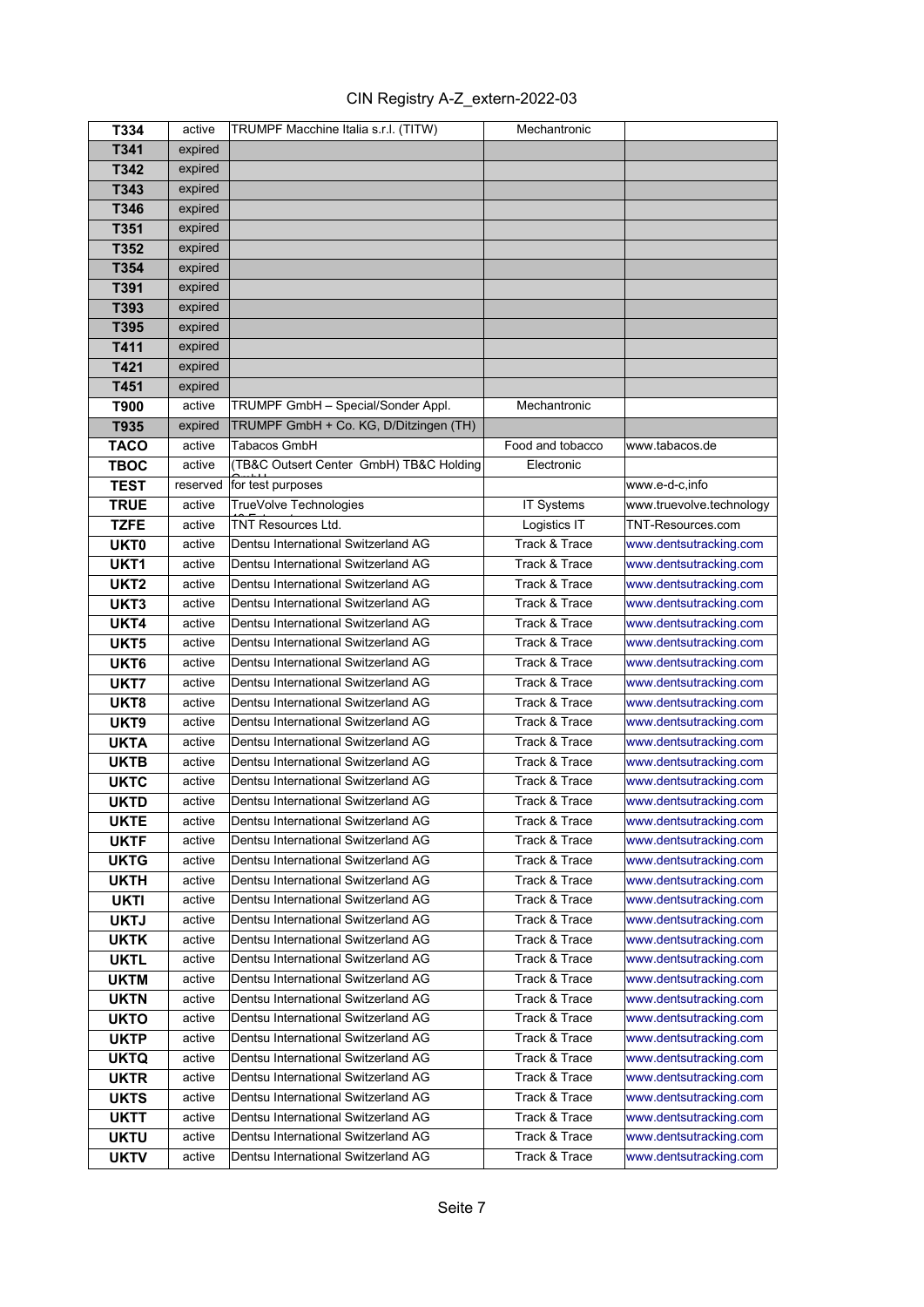| CIN Registry A-Z_extern-2022-03 |  |
|---------------------------------|--|
|---------------------------------|--|

| T334                       | active           | TRUMPF Macchine Italia s.r.l. (TITW)                                       | Mechantronic     |                                                  |
|----------------------------|------------------|----------------------------------------------------------------------------|------------------|--------------------------------------------------|
| T341                       | expired          |                                                                            |                  |                                                  |
| T342                       | expired          |                                                                            |                  |                                                  |
| T343                       | expired          |                                                                            |                  |                                                  |
| T346                       | expired          |                                                                            |                  |                                                  |
| T351                       | expired          |                                                                            |                  |                                                  |
| T352                       | expired          |                                                                            |                  |                                                  |
| T354                       | expired          |                                                                            |                  |                                                  |
| T391                       | expired          |                                                                            |                  |                                                  |
| T393                       | expired          |                                                                            |                  |                                                  |
| T395                       | expired          |                                                                            |                  |                                                  |
| T411                       | expired          |                                                                            |                  |                                                  |
| T421                       | expired          |                                                                            |                  |                                                  |
| T451                       | expired          |                                                                            |                  |                                                  |
| T900                       | active           | TRUMPF GmbH - Special/Sonder Appl.                                         | Mechantronic     |                                                  |
| T935                       | expired          | TRUMPF GmbH + Co. KG, D/Ditzingen (TH)                                     |                  |                                                  |
| <b>TACO</b>                | active           | Tabacos GmbH                                                               | Food and tobacco | www.tabacos.de                                   |
| <b>TBOC</b>                | active           | (TB&C Outsert Center GmbH) TB&C Holding                                    | Electronic       |                                                  |
| <b>TEST</b>                | reserved         | for test purposes                                                          |                  | www.e-d-c,info                                   |
| <b>TRUE</b>                | active           | TrueVolve Technologies                                                     | IT Systems       | www.truevolve.technology                         |
| <b>TZFE</b>                | active           | <b>TNT Resources Ltd.</b>                                                  | Logistics IT     | TNT-Resources.com                                |
| <b>UKT0</b>                | active           | Dentsu International Switzerland AG                                        | Track & Trace    | www.dentsutracking.com                           |
| UKT <sub>1</sub>           | active           | Dentsu International Switzerland AG                                        | Track & Trace    | www.dentsutracking.com                           |
| UKT <sub>2</sub>           | active           | Dentsu International Switzerland AG                                        | Track & Trace    | www.dentsutracking.com                           |
| UKT3                       | active           | Dentsu International Switzerland AG                                        | Track & Trace    | www.dentsutracking.com                           |
| UKT4                       | active           | Dentsu International Switzerland AG                                        | Track & Trace    | www.dentsutracking.com                           |
| UKT <sub>5</sub>           | active           | Dentsu International Switzerland AG                                        | Track & Trace    | www.dentsutracking.com                           |
| UKT <sub>6</sub>           | active           | Dentsu International Switzerland AG                                        | Track & Trace    | www.dentsutracking.com                           |
| UKT7                       | active           | Dentsu International Switzerland AG                                        | Track & Trace    | www.dentsutracking.com                           |
| UKT8                       | active           | Dentsu International Switzerland AG                                        | Track & Trace    | www.dentsutracking.com                           |
| UKT9                       | active           | Dentsu International Switzerland AG                                        | Track & Trace    | www.dentsutracking.com                           |
| <b>UKTA</b>                | active           | Dentsu International Switzerland AG                                        | Track & Trace    | www.dentsutracking.com                           |
| <b>UKTB</b>                | active           | Dentsu International Switzerland AG                                        | Track & Trace    | www.dentsutracking.com                           |
| <b>UKTC</b>                | active           | Dentsu International Switzerland AG                                        | Track & Trace    | www.dentsutracking.com                           |
| <b>UKTD</b>                | active           | Dentsu International Switzerland AG                                        | Track & Trace    | www.dentsutracking.com                           |
| <b>UKTE</b>                |                  | Dentsu International Switzerland AG                                        | Track & Trace    | www.dentsutracking.com                           |
| <b>UKTF</b>                | active<br>active | Dentsu International Switzerland AG                                        | Track & Trace    | www.dentsutracking.com                           |
| <b>UKTG</b>                | active           | Dentsu International Switzerland AG                                        | Track & Trace    | www.dentsutracking.com                           |
| <b>UKTH</b>                | active           | Dentsu International Switzerland AG                                        | Track & Trace    | www.dentsutracking.com                           |
| <b>UKTI</b>                | active           | Dentsu International Switzerland AG                                        | Track & Trace    | www.dentsutracking.com                           |
| <b>UKTJ</b>                | active           | Dentsu International Switzerland AG                                        | Track & Trace    | www.dentsutracking.com                           |
| <b>UKTK</b>                | active           | Dentsu International Switzerland AG                                        | Track & Trace    | www.dentsutracking.com                           |
| <b>UKTL</b>                | active           | Dentsu International Switzerland AG                                        | Track & Trace    | www.dentsutracking.com                           |
| <b>UKTM</b>                | active           | Dentsu International Switzerland AG                                        | Track & Trace    | www.dentsutracking.com                           |
|                            | active           | Dentsu International Switzerland AG                                        | Track & Trace    |                                                  |
| <b>UKTN</b><br><b>UKTO</b> | active           | Dentsu International Switzerland AG                                        | Track & Trace    | www.dentsutracking.com<br>www.dentsutracking.com |
|                            |                  |                                                                            | Track & Trace    |                                                  |
| <b>UKTP</b>                | active<br>active | Dentsu International Switzerland AG<br>Dentsu International Switzerland AG | Track & Trace    | www.dentsutracking.com<br>www.dentsutracking.com |
| <b>UKTQ</b>                | active           | Dentsu International Switzerland AG                                        | Track & Trace    |                                                  |
| <b>UKTR</b>                |                  | Dentsu International Switzerland AG                                        | Track & Trace    | www.dentsutracking.com<br>www.dentsutracking.com |
| <b>UKTS</b>                | active<br>active | Dentsu International Switzerland AG                                        | Track & Trace    | www.dentsutracking.com                           |
| <b>UKTT</b>                |                  |                                                                            | Track & Trace    |                                                  |
| <b>UKTU</b>                | active           | Dentsu International Switzerland AG                                        |                  | www.dentsutracking.com                           |
| <b>UKTV</b>                | active           | Dentsu International Switzerland AG                                        | Track & Trace    | www.dentsutracking.com                           |